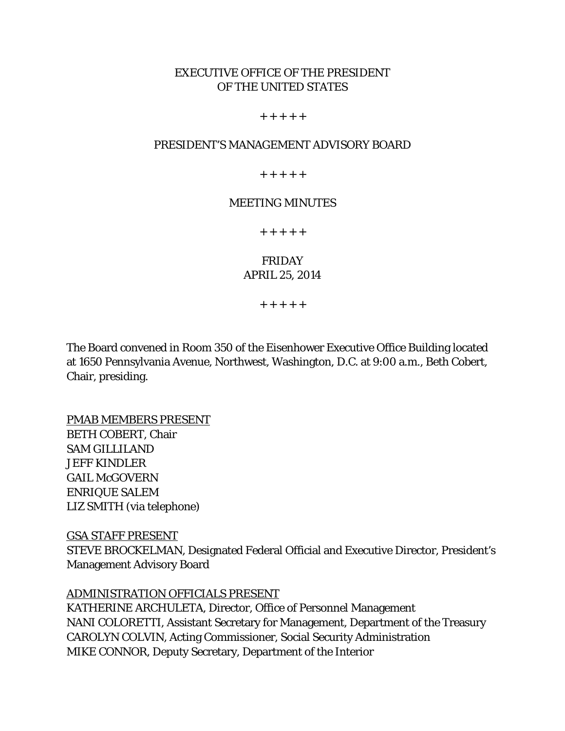# EXECUTIVE OFFICE OF THE PRESIDENT OF THE UNITED STATES

#### $+ + + + +$

### PRESIDENT'S MANAGEMENT ADVISORY BOARD

 $+ + + + +$ 

### MEETING MINUTES

+ + + + +

### FRIDAY APRIL 25, 2014

+ + + + +

The Board convened in Room 350 of the Eisenhower Executive Office Building located at 1650 Pennsylvania Avenue, Northwest, Washington, D.C. at 9:00 a.m., Beth Cobert, Chair, presiding.

PMAB MEMBERS PRESENT BETH COBERT, Chair SAM GILLILAND JEFF KINDLER **GAIL McGOVERN** ENRIQUE SALEM LIZ SMITH (via telephone)

GSA STAFF PRESENT STEVE BROCKELMAN, Designated Federal Official and Executive Director, President's Management Advisory Board

#### ADMINISTRATION OFFICIALS PRESENT

KATHERINE ARCHULETA, Director, Office of Personnel Management NANI COLORETTI, Assistant Secretary for Management, Department of the Treasury CAROLYN COLVIN, Acting Commissioner, Social Security Administration MIKE CONNOR, Deputy Secretary, Department of the Interior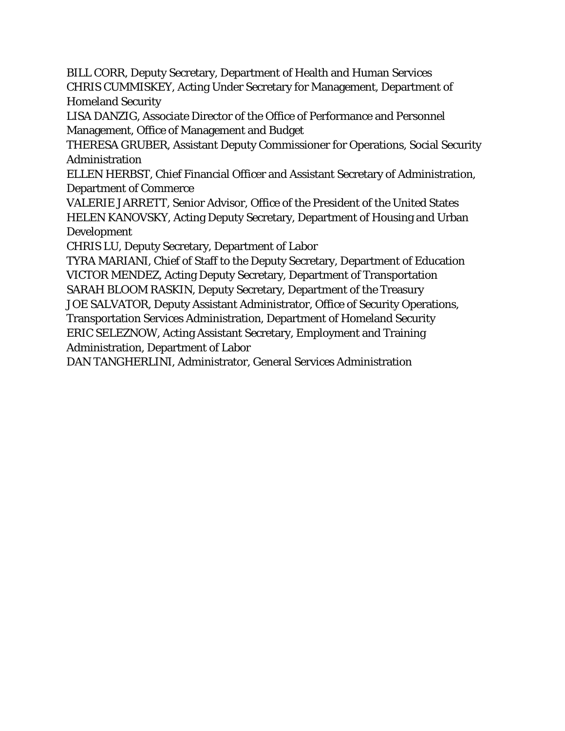BILL CORR, Deputy Secretary, Department of Health and Human Services CHRIS CUMMISKEY, Acting Under Secretary for Management, Department of Homeland Security

LISA DANZIG, Associate Director of the Office of Performance and Personnel Management, Office of Management and Budget

THERESA GRUBER, Assistant Deputy Commissioner for Operations, Social Security Administration

ELLEN HERBST, Chief Financial Officer and Assistant Secretary of Administration, Department of Commerce

VALERIE JARRETT, Senior Advisor, Office of the President of the United States HELEN KANOVSKY, Acting Deputy Secretary, Department of Housing and Urban Development

CHRIS LU, Deputy Secretary, Department of Labor

TYRA MARIANI, Chief of Staff to the Deputy Secretary, Department of Education VICTOR MENDEZ, Acting Deputy Secretary, Department of Transportation SARAH BLOOM RASKIN, Deputy Secretary, Department of the Treasury

JOE SALVATOR, Deputy Assistant Administrator, Office of Security Operations,

Transportation Services Administration, Department of Homeland Security ERIC SELEZNOW, Acting Assistant Secretary, Employment and Training Administration, Department of Labor

DAN TANGHERLINI, Administrator, General Services Administration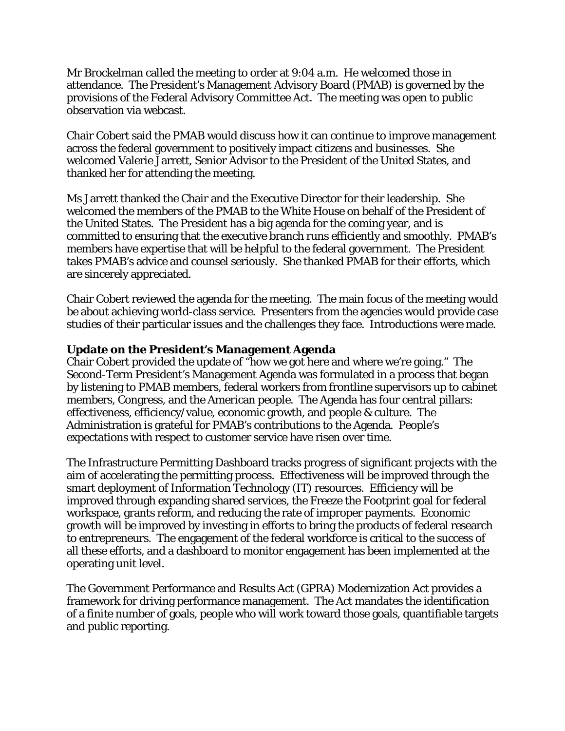Mr Brockelman called the meeting to order at 9:04 a.m. He welcomed those in attendance. The President's Management Advisory Board (PMAB) is governed by the provisions of the Federal Advisory Committee Act. The meeting was open to public observation via webcast.

Chair Cobert said the PMAB would discuss how it can continue to improve management across the federal government to positively impact citizens and businesses. She welcomed Valerie Jarrett, Senior Advisor to the President of the United States, and thanked her for attending the meeting.

Ms Jarrett thanked the Chair and the Executive Director for their leadership. She welcomed the members of the PMAB to the White House on behalf of the President of the United States. The President has a big agenda for the coming year, and is committed to ensuring that the executive branch runs efficiently and smoothly. PMAB's members have expertise that will be helpful to the federal government. The President takes PMAB's advice and counsel seriously. She thanked PMAB for their efforts, which are sincerely appreciated.

Chair Cobert reviewed the agenda for the meeting. The main focus of the meeting would be about achieving world-class service. Presenters from the agencies would provide case studies of their particular issues and the challenges they face. Introductions were made.

### **Update on the President's Management Agenda**

Chair Cobert provided the update of "how we got here and where we're going." The Second-Term President's Management Agenda was formulated in a process that began by listening to PMAB members, federal workers from frontline supervisors up to cabinet members, Congress, and the American people. The Agenda has four central pillars: effectiveness, efficiency/value, economic growth, and people & culture. The Administration is grateful for PMAB's contributions to the Agenda. People's expectations with respect to customer service have risen over time.

The Infrastructure Permitting Dashboard tracks progress of significant projects with the aim of accelerating the permitting process. Effectiveness will be improved through the smart deployment of Information Technology (IT) resources. Efficiency will be improved through expanding shared services, the Freeze the Footprint goal for federal workspace, grants reform, and reducing the rate of improper payments. Economic growth will be improved by investing in efforts to bring the products of federal research to entrepreneurs. The engagement of the federal workforce is critical to the success of all these efforts, and a dashboard to monitor engagement has been implemented at the operating unit level.

The Government Performance and Results Act (GPRA) Modernization Act provides a framework for driving performance management. The Act mandates the identification of a finite number of goals, people who will work toward those goals, quantifiable targets and public reporting.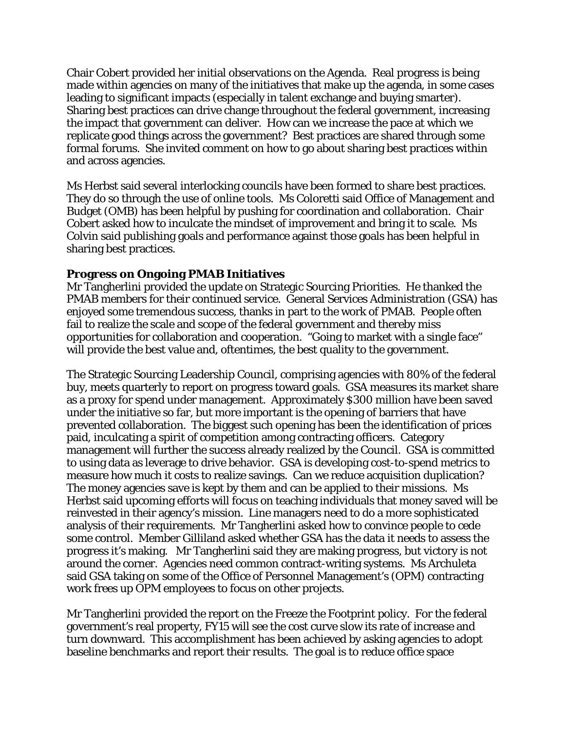Chair Cobert provided her initial observations on the Agenda. Real progress is being made within agencies on many of the initiatives that make up the agenda, in some cases leading to significant impacts (especially in talent exchange and buying smarter). Sharing best practices can drive change throughout the federal government, increasing the impact that government can deliver. How can we increase the pace at which we replicate good things across the government? Best practices are shared through some formal forums. She invited comment on how to go about sharing best practices within and across agencies.

Ms Herbst said several interlocking councils have been formed to share best practices. They do so through the use of online tools. Ms Coloretti said Office of Management and Budget (OMB) has been helpful by pushing for coordination and collaboration. Chair Cobert asked how to inculcate the mindset of improvement and bring it to scale. Ms Colvin said publishing goals and performance against those goals has been helpful in sharing best practices.

## **Progress on Ongoing PMAB Initiatives**

Mr Tangherlini provided the update on Strategic Sourcing Priorities. He thanked the PMAB members for their continued service. General Services Administration (GSA) has enjoyed some tremendous success, thanks in part to the work of PMAB. People often fail to realize the scale and scope of the federal government and thereby miss opportunities for collaboration and cooperation. "Going to market with a single face" will provide the best value and, oftentimes, the best quality to the government.

The Strategic Sourcing Leadership Council, comprising agencies with 80% of the federal buy, meets quarterly to report on progress toward goals. GSA measures its market share as a proxy for spend under management. Approximately \$300 million have been saved under the initiative so far, but more important is the opening of barriers that have prevented collaboration. The biggest such opening has been the identification of prices paid, inculcating a spirit of competition among contracting officers. Category management will further the success already realized by the Council. GSA is committed to using data as leverage to drive behavior. GSA is developing cost-to-spend metrics to measure how much it costs to realize savings. Can we reduce acquisition duplication? The money agencies save is kept by them and can be applied to their missions. Ms Herbst said upcoming efforts will focus on teaching individuals that money saved will be reinvested in their agency's mission. Line managers need to do a more sophisticated analysis of their requirements. Mr Tangherlini asked how to convince people to cede some control. Member Gilliland asked whether GSA has the data it needs to assess the progress it's making. Mr Tangherlini said they are making progress, but victory is not around the corner. Agencies need common contract-writing systems. Ms Archuleta said GSA taking on some of the Office of Personnel Management's (OPM) contracting work frees up OPM employees to focus on other projects.

Mr Tangherlini provided the report on the Freeze the Footprint policy. For the federal government's real property, FY15 will see the cost curve slow its rate of increase and turn downward. This accomplishment has been achieved by asking agencies to adopt baseline benchmarks and report their results. The goal is to reduce office space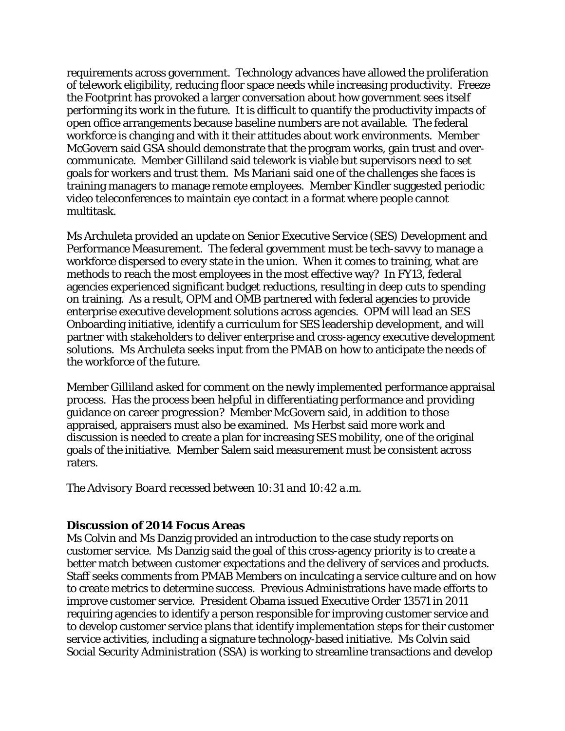requirements across government. Technology advances have allowed the proliferation of telework eligibility, reducing floor space needs while increasing productivity. Freeze the Footprint has provoked a larger conversation about how government sees itself performing its work in the future. It is difficult to quantify the productivity impacts of open office arrangements because baseline numbers are not available. The federal workforce is changing and with it their attitudes about work environments. Member McGovern said GSA should demonstrate that the program works, gain trust and overcommunicate. Member Gilliland said telework is viable but supervisors need to set goals for workers and trust them. Ms Mariani said one of the challenges she faces is training managers to manage remote employees. Member Kindler suggested periodic video teleconferences to maintain eye contact in a format where people cannot multitask.

Ms Archuleta provided an update on Senior Executive Service (SES) Development and Performance Measurement. The federal government must be tech-savvy to manage a workforce dispersed to every state in the union. When it comes to training, what are methods to reach the most employees in the most effective way? In FY13, federal agencies experienced significant budget reductions, resulting in deep cuts to spending on training. As a result, OPM and OMB partnered with federal agencies to provide enterprise executive development solutions across agencies. OPM will lead an SES Onboarding initiative, identify a curriculum for SES leadership development, and will partner with stakeholders to deliver enterprise and cross-agency executive development solutions. Ms Archuleta seeks input from the PMAB on how to anticipate the needs of the workforce of the future.

Member Gilliland asked for comment on the newly implemented performance appraisal process. Has the process been helpful in differentiating performance and providing guidance on career progression? Member McGovern said, in addition to those appraised, appraisers must also be examined. Ms Herbst said more work and discussion is needed to create a plan for increasing SES mobility, one of the original goals of the initiative. Member Salem said measurement must be consistent across raters.

*The Advisory Board recessed between 10:31 and 10:42 a.m.* 

### **Discussion of 2014 Focus Areas**

Ms Colvin and Ms Danzig provided an introduction to the case study reports on customer service. Ms Danzig said the goal of this cross-agency priority is to create a better match between customer expectations and the delivery of services and products. Staff seeks comments from PMAB Members on inculcating a service culture and on how to create metrics to determine success. Previous Administrations have made efforts to improve customer service. President Obama issued Executive Order 13571 in 2011 requiring agencies to identify a person responsible for improving customer service and to develop customer service plans that identify implementation steps for their customer service activities, including a signature technology-based initiative. Ms Colvin said Social Security Administration (SSA) is working to streamline transactions and develop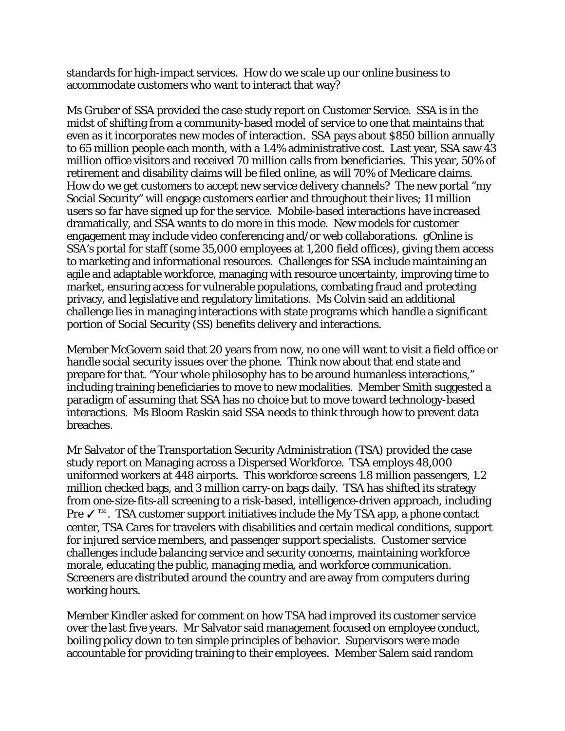standards for high-impact services. How do we scale up our online business to accommodate customers who want to interact that way?

Ms Gruber of SSA provided the case study report on Customer Service. SSA is in the midst of shifting from a community-based model of service to one that maintains that even as it incorporates new modes of interaction. SSA pays about \$850 billion annually to 65 million people each month, with a 1.4% administrative cost. Last year, SSA saw 43 million office visitors and received 70 million calls from beneficiaries. This year, 50% of retirement and disability claims will be filed online, as will 70% of Medicare claims. How do we get customers to accept new service delivery channels? The new portal "my Social Security" will engage customers earlier and throughout their lives; 11 million users so far have signed up for the service. Mobile-based interactions have increased dramatically, and SSA wants to do more in this mode. New models for customer engagement may include video conferencing and/or web collaborations. gOnline is SSA's portal for staff (some 35,000 employees at 1,200 field offices), giving them access to marketing and informational resources. Challenges for SSA include maintaining an agile and adaptable workforce, managing with resource uncertainty, improving time to market, ensuring access for vulnerable populations, combating fraud and protecting privacy, and legislative and regulatory limitations. Ms Colvin said an additional challenge lies in managing interactions with state programs which handle a significant portion of Social Security (SS) benefits delivery and interactions.

Member McGovern said that 20 years from now, no one will want to visit a field office or handle social security issues over the phone. Think now about that end state and prepare for that. "Your whole philosophy has to be around humanless interactions," including training beneficiaries to move to new modalities. Member Smith suggested a paradigm of assuming that SSA has no choice but to move toward technology-based interactions. Ms Bloom Raskin said SSA needs to think through how to prevent data breaches.

Mr Salvator of the Transportation Security Administration (TSA) provided the case study report on Managing across a Dispersed Workforce. TSA employs 48,000 uniformed workers at 448 airports. This workforce screens 1.8 million passengers, 1.2 million checked bags, and 3 million carry-on bags daily. TSA has shifted its strategy from one-size-fits-all screening to a risk-based, intelligence-driven approach, including Pre √<sup>™</sup>. TSA customer support initiatives include the My TSA app, a phone contact center, TSA Cares for travelers with disabilities and certain medical conditions, support for injured service members, and passenger support specialists. Customer service challenges include balancing service and security concerns, maintaining workforce morale, educating the public, managing media, and workforce communication. Screeners are distributed around the country and are away from computers during working hours.

Member Kindler asked for comment on how TSA had improved its customer service over the last five years. Mr Salvator said management focused on employee conduct, boiling policy down to ten simple principles of behavior. Supervisors were made accountable for providing training to their employees. Member Salem said random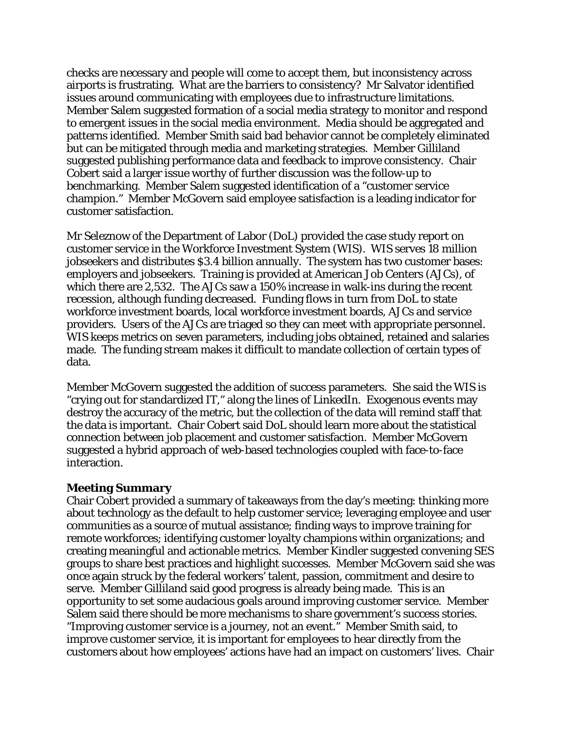checks are necessary and people will come to accept them, but inconsistency across airports is frustrating. What are the barriers to consistency? Mr Salvator identified issues around communicating with employees due to infrastructure limitations. Member Salem suggested formation of a social media strategy to monitor and respond to emergent issues in the social media environment. Media should be aggregated and patterns identified. Member Smith said bad behavior cannot be completely eliminated but can be mitigated through media and marketing strategies. Member Gilliland suggested publishing performance data and feedback to improve consistency. Chair Cobert said a larger issue worthy of further discussion was the follow-up to benchmarking. Member Salem suggested identification of a "customer service champion." Member McGovern said employee satisfaction is a leading indicator for customer satisfaction.

Mr Seleznow of the Department of Labor (DoL) provided the case study report on customer service in the Workforce Investment System (WIS). WIS serves 18 million jobseekers and distributes \$3.4 billion annually. The system has two customer bases: employers and jobseekers. Training is provided at American Job Centers (AJCs), of which there are 2,532. The AJCs saw a 150% increase in walk-ins during the recent recession, although funding decreased. Funding flows in turn from DoL to state workforce investment boards, local workforce investment boards, AJCs and service providers. Users of the AJCs are triaged so they can meet with appropriate personnel. WIS keeps metrics on seven parameters, including jobs obtained, retained and salaries made. The funding stream makes it difficult to mandate collection of certain types of data.

Member McGovern suggested the addition of success parameters. She said the WIS is "crying out for standardized IT," along the lines of LinkedIn. Exogenous events may destroy the accuracy of the metric, but the collection of the data will remind staff that the data is important. Chair Cobert said DoL should learn more about the statistical connection between job placement and customer satisfaction. Member McGovern suggested a hybrid approach of web-based technologies coupled with face-to-face interaction.

#### **Meeting Summary**

Chair Cobert provided a summary of takeaways from the day's meeting: thinking more about technology as the default to help customer service; leveraging employee and user communities as a source of mutual assistance; finding ways to improve training for remote workforces; identifying customer loyalty champions within organizations; and creating meaningful and actionable metrics. Member Kindler suggested convening SES groups to share best practices and highlight successes. Member McGovern said she was once again struck by the federal workers' talent, passion, commitment and desire to serve. Member Gilliland said good progress is already being made. This is an opportunity to set some audacious goals around improving customer service. Member Salem said there should be more mechanisms to share government's success stories. "Improving customer service is a journey, not an event." Member Smith said, to improve customer service, it is important for employees to hear directly from the customers about how employees' actions have had an impact on customers' lives. Chair